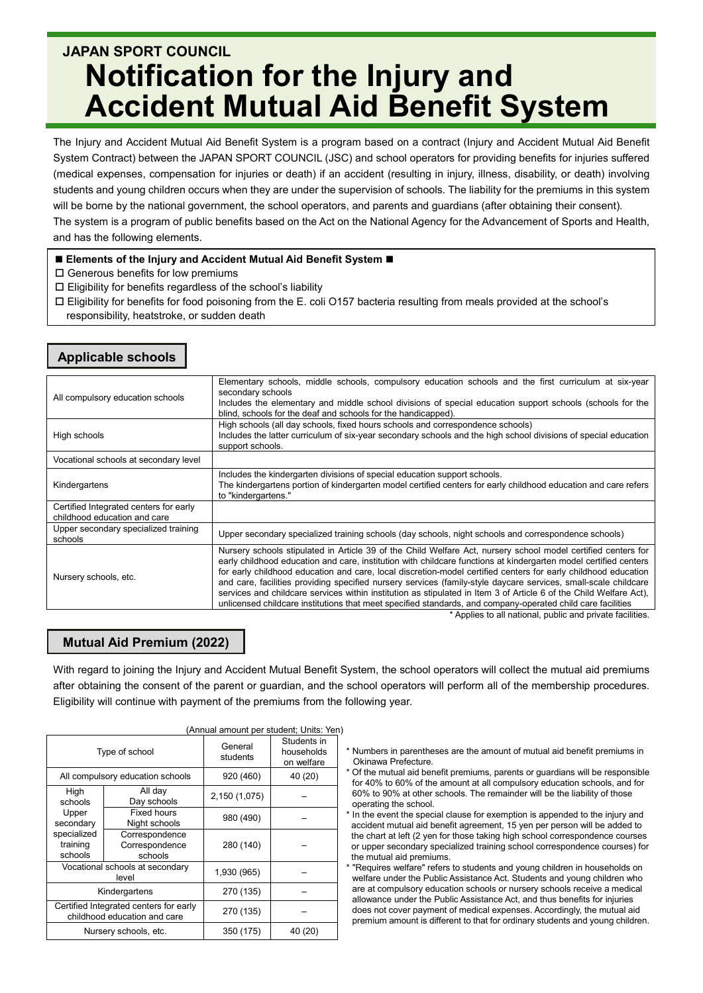# **JAPAN SPORT COUNCIL Notification for the Injury and Accident Mutual Aid Benefit System**

The Injury and Accident Mutual Aid Benefit System is a program based on a contract (Injury and Accident Mutual Aid Benefit System Contract) between the JAPAN SPORT COUNCIL (JSC) and school operators for providing benefits for injuries suffered (medical expenses, compensation for injuries or death) if an accident (resulting in injury, illness, disability, or death) involving students and young children occurs when they are under the supervision of schools. The liability for the premiums in this system will be borne by the national government, the school operators, and parents and guardians (after obtaining their consent). The system is a program of public benefits based on the Act on the National Agency for the Advancement of Sports and Health, and has the following elements.

### **Elements of the Injury and Accident Mutual Aid Benefit System**

- $\square$  Generous benefits for low premiums
- $\square$  Eligibility for benefits regardless of the school's liability
- Eligibility for benefits for food poisoning from the E. coli O157 bacteria resulting from meals provided at the school's responsibility, heatstroke, or sudden death

## **Applicable schools**

| All compulsory education schools                                       | Elementary schools, middle schools, compulsory education schools and the first curriculum at six-year<br>secondary schools<br>Includes the elementary and middle school divisions of special education support schools (schools for the<br>blind, schools for the deaf and schools for the handicapped).                                                                                                                                                                                                                                                                                                                                                                                                    |  |  |  |
|------------------------------------------------------------------------|-------------------------------------------------------------------------------------------------------------------------------------------------------------------------------------------------------------------------------------------------------------------------------------------------------------------------------------------------------------------------------------------------------------------------------------------------------------------------------------------------------------------------------------------------------------------------------------------------------------------------------------------------------------------------------------------------------------|--|--|--|
| High schools                                                           | High schools (all day schools, fixed hours schools and correspondence schools)<br>Includes the latter curriculum of six-year secondary schools and the high school divisions of special education<br>support schools.                                                                                                                                                                                                                                                                                                                                                                                                                                                                                       |  |  |  |
| Vocational schools at secondary level                                  |                                                                                                                                                                                                                                                                                                                                                                                                                                                                                                                                                                                                                                                                                                             |  |  |  |
| Kindergartens                                                          | Includes the kindergarten divisions of special education support schools.<br>The kindergartens portion of kindergarten model certified centers for early childhood education and care refers<br>to "kindergartens."                                                                                                                                                                                                                                                                                                                                                                                                                                                                                         |  |  |  |
| Certified Integrated centers for early<br>childhood education and care |                                                                                                                                                                                                                                                                                                                                                                                                                                                                                                                                                                                                                                                                                                             |  |  |  |
| Upper secondary specialized training<br>schools                        | Upper secondary specialized training schools (day schools, night schools and correspondence schools)                                                                                                                                                                                                                                                                                                                                                                                                                                                                                                                                                                                                        |  |  |  |
| Nursery schools, etc.                                                  | Nursery schools stipulated in Article 39 of the Child Welfare Act, nursery school model certified centers for<br>early childhood education and care, institution with childcare functions at kindergarten model certified centers<br>for early childhood education and care, local discretion-model certified centers for early childhood education<br>and care, facilities providing specified nursery services (family-style daycare services, small-scale childcare<br>services and childcare services within institution as stipulated in Item 3 of Article 6 of the Child Welfare Act),<br>unlicensed childcare institutions that meet specified standards, and company-operated child care facilities |  |  |  |
|                                                                        | * Applies to all national, public and private facilities.                                                                                                                                                                                                                                                                                                                                                                                                                                                                                                                                                                                                                                                   |  |  |  |

## **Mutual Aid Premium (2022)**

With regard to joining the Injury and Accident Mutual Benefit System, the school operators will collect the mutual aid premiums after obtaining the consent of the parent or guardian, and the school operators will perform all of the membership procedures. Eligibility will continue with payment of the premiums from the following year.

|                                                                        |                                             | <u>IAIIIIuai amount per stuuent, Omts. Ten</u> |                                         |
|------------------------------------------------------------------------|---------------------------------------------|------------------------------------------------|-----------------------------------------|
| Type of school                                                         |                                             | General<br>students                            | Students in<br>households<br>on welfare |
| All compulsory education schools                                       |                                             | 920 (460)                                      | 40 (20)                                 |
| High<br>schools                                                        | All day<br>Day schools                      | 2,150 (1,075)                                  |                                         |
| Upper<br>secondary                                                     | <b>Fixed hours</b><br>Night schools         | 980 (490)                                      |                                         |
| specialized<br>training<br>schools                                     | Correspondence<br>Correspondence<br>schools | 280 (140)                                      |                                         |
| Vocational schools at secondary<br>level                               |                                             | 1,930 (965)                                    |                                         |
| Kindergartens                                                          |                                             | 270 (135)                                      |                                         |
| Certified Integrated centers for early<br>childhood education and care |                                             | 270 (135)                                      |                                         |
| Nursery schools, etc.                                                  |                                             | 350 (175)                                      | 40 (20)                                 |

### (Annual amount per student; Units: Yen)

- \* Numbers in parentheses are the amount of mutual aid benefit premiums in Okinawa Prefecture.
- \* Of the mutual aid benefit premiums, parents or guardians will be responsible for 40% to 60% of the amount at all compulsory education schools, and for 60% to 90% at other schools. The remainder will be the liability of those operating the school.
- \* In the event the special clause for exemption is appended to the injury and accident mutual aid benefit agreement, 15 yen per person will be added to the chart at left (2 yen for those taking high school correspondence courses or upper secondary specialized training school correspondence courses) for the mutual aid premiums.

\* "Requires welfare" refers to students and young children in households on welfare under the Public Assistance Act. Students and young children who are at compulsory education schools or nursery schools receive a medical allowance under the Public Assistance Act, and thus benefits for injuries does not cover payment of medical expenses. Accordingly, the mutual aid premium amount is different to that for ordinary students and young children.